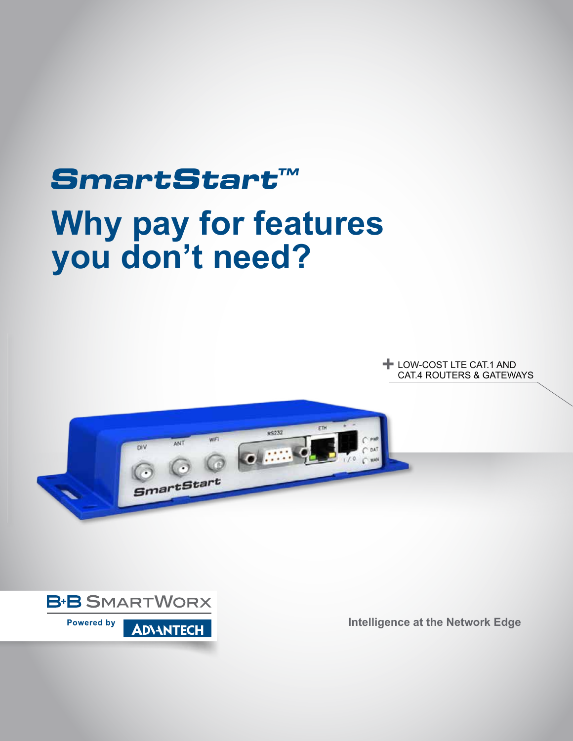# SmartStart™ **Why pay for features you don't need?**

**+ LOW-COST LTE CAT.1 AND<br>CAT4 ROUTERS & GATEWA** CAT.4 ROUTERS & GATEWAYS





**Intelligence at the Network Edge**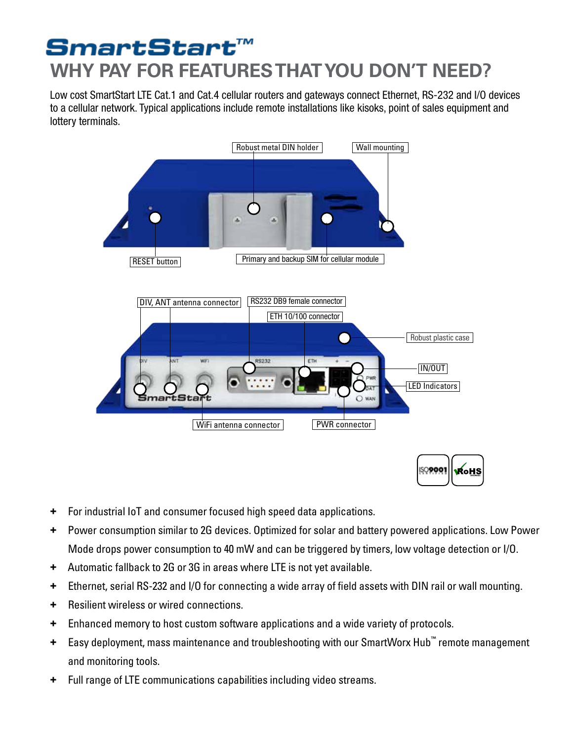# SmartStart™ **WHY PAY FOR FEATURES THAT YOU DON'T NEED?**

Low cost SmartStart LTE Cat.1 and Cat.4 cellular routers and gateways connect Ethernet, RS-232 and I/O devices to a cellular network. Typical applications include remote installations like kisoks, point of sales equipment and lottery terminals.





- **+** For industrial IoT and consumer focused high speed data applications.
- **+** Power consumption similar to 2G devices. Optimized for solar and battery powered applications. Low Power Mode drops power consumption to 40 mW and can be triggered by timers, low voltage detection or I/O.
- **+** Automatic fallback to 2G or 3G in areas where LTE is not yet available.
- **+** Ethernet, serial RS-232 and I/O for connecting a wide array of field assets with DIN rail or wall mounting.
- **+** Resilient wireless or wired connections.
- **+** Enhanced memory to host custom software applications and a wide variety of protocols.
- **+** Easy deployment, mass maintenance and troubleshooting with our SmartWorx Hub™ remote management and monitoring tools.
- **+** Full range of LTE communications capabilities including video streams.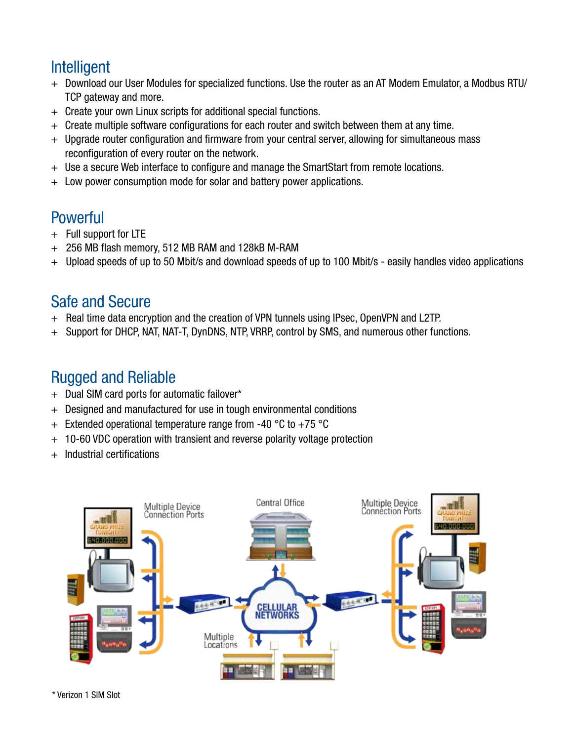# **Intelligent**

- + Download our User Modules for specialized functions. Use the router as an AT Modem Emulator, a Modbus RTU/ TCP gateway and more.
- + Create your own Linux scripts for additional special functions.
- + Create multiple software configurations for each router and switch between them at any time.
- + Upgrade router configuration and firmware from your central server, allowing for simultaneous mass reconfiguration of every router on the network.
- + Use a secure Web interface to configure and manage the SmartStart from remote locations.
- + Low power consumption mode for solar and battery power applications.

# **Powerful**

- + Full support for LTE
- + 256 MB flash memory, 512 MB RAM and 128kB M-RAM
- + Upload speeds of up to 50 Mbit/s and download speeds of up to 100 Mbit/s easily handles video applications

### Safe and Secure

- + Real time data encryption and the creation of VPN tunnels using IPsec, OpenVPN and L2TP.
- + Support for DHCP, NAT, NAT-T, DynDNS, NTP, VRRP, control by SMS, and numerous other functions.

## Rugged and Reliable

- + Dual SIM card ports for automatic failover\*
- + Designed and manufactured for use in tough environmental conditions
- $+$  Extended operational temperature range from -40 °C to +75 °C
- + 10-60 VDC operation with transient and reverse polarity voltage protection
- Industrial certifications